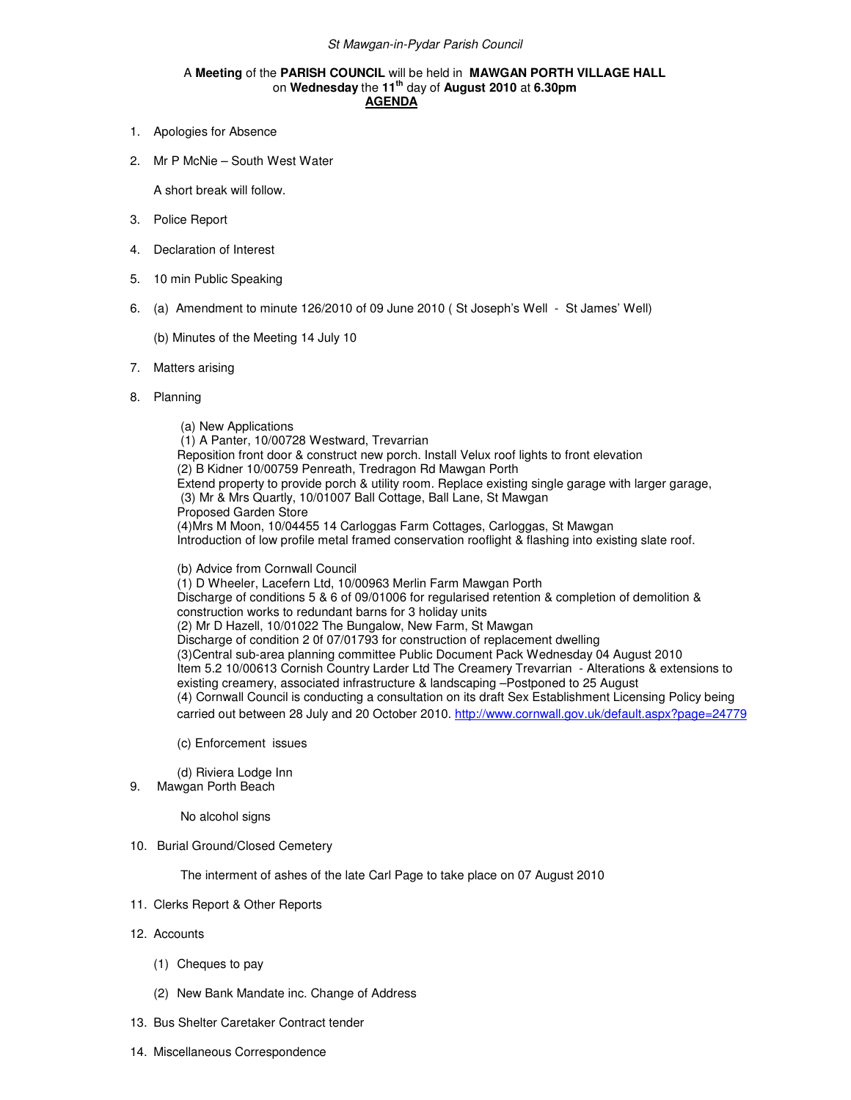## A **Meeting** of the **PARISH COUNCIL** will be held in **MAWGAN PORTH VILLAGE HALL** on **Wednesday** the **11th** day of **August 2010** at **6.30pm AGENDA**

- 1. Apologies for Absence
- 2. Mr P McNie South West Water

A short break will follow.

- 3. Police Report
- 4. Declaration of Interest
- 5. 10 min Public Speaking
- 6. (a) Amendment to minute 126/2010 of 09 June 2010 ( St Joseph's Well St James' Well)

(b) Minutes of the Meeting 14 July 10

- 7. Matters arising
- 8. Planning

 (a) New Applications (1) A Panter, 10/00728 Westward, Trevarrian Reposition front door & construct new porch. Install Velux roof lights to front elevation (2) B Kidner 10/00759 Penreath, Tredragon Rd Mawgan Porth Extend property to provide porch & utility room. Replace existing single garage with larger garage, (3) Mr & Mrs Quartly, 10/01007 Ball Cottage, Ball Lane, St Mawgan Proposed Garden Store (4)Mrs M Moon, 10/04455 14 Carloggas Farm Cottages, Carloggas, St Mawgan Introduction of low profile metal framed conservation rooflight & flashing into existing slate roof.

(b) Advice from Cornwall Council

(1) D Wheeler, Lacefern Ltd, 10/00963 Merlin Farm Mawgan Porth Discharge of conditions 5 & 6 of 09/01006 for regularised retention & completion of demolition & construction works to redundant barns for 3 holiday units (2) Mr D Hazell, 10/01022 The Bungalow, New Farm, St Mawgan Discharge of condition 2 0f 07/01793 for construction of replacement dwelling (3)Central sub-area planning committee Public Document Pack Wednesday 04 August 2010 Item 5.2 10/00613 Cornish Country Larder Ltd The Creamery Trevarrian - Alterations & extensions to existing creamery, associated infrastructure & landscaping –Postponed to 25 August (4) Cornwall Council is conducting a consultation on its draft Sex Establishment Licensing Policy being carried out between 28 July and 20 October 2010. http://www.cornwall.gov.uk/default.aspx?page=24779

(c) Enforcement issues

(d) Riviera Lodge Inn

9. Mawgan Porth Beach

No alcohol signs

10. Burial Ground/Closed Cemetery

The interment of ashes of the late Carl Page to take place on 07 August 2010

- 11. Clerks Report & Other Reports
- 12. Accounts
	- (1) Cheques to pay
	- (2) New Bank Mandate inc. Change of Address
- 13. Bus Shelter Caretaker Contract tender
- 14. Miscellaneous Correspondence